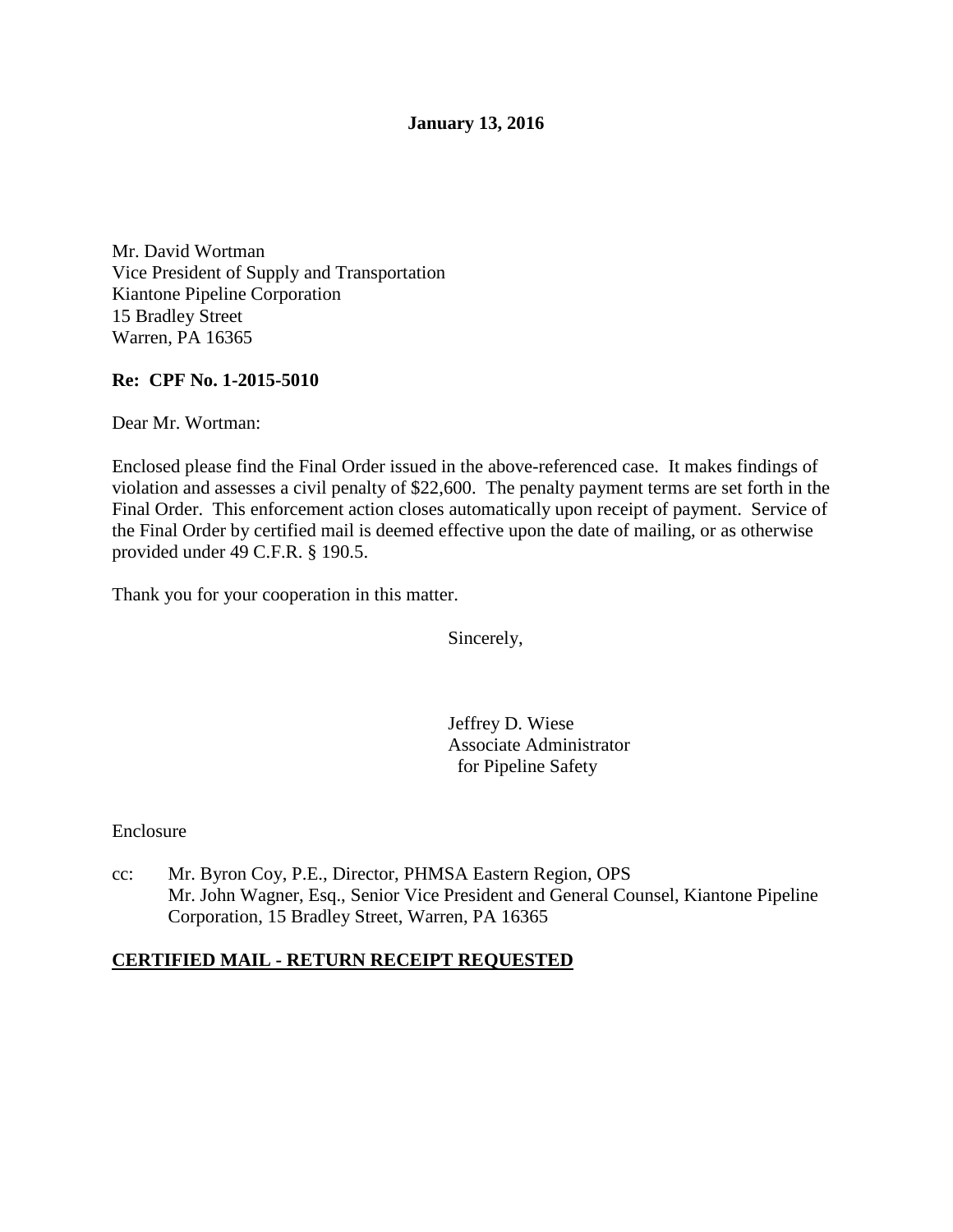# **January 13, 2016**

Mr. David Wortman Vice President of Supply and Transportation Kiantone Pipeline Corporation 15 Bradley Street Warren, PA 16365

## **Re: CPF No. 1-2015-5010**

Dear Mr. Wortman:

Enclosed please find the Final Order issued in the above-referenced case. It makes findings of violation and assesses a civil penalty of \$22,600. The penalty payment terms are set forth in the Final Order. This enforcement action closes automatically upon receipt of payment. Service of the Final Order by certified mail is deemed effective upon the date of mailing, or as otherwise provided under 49 C.F.R. § 190.5.

Thank you for your cooperation in this matter.

Sincerely,

Jeffrey D. Wiese Associate Administrator for Pipeline Safety

Enclosure

cc: Mr. Byron Coy, P.E., Director, PHMSA Eastern Region, OPS Mr. John Wagner, Esq., Senior Vice President and General Counsel, Kiantone Pipeline Corporation, 15 Bradley Street, Warren, PA 16365

## **CERTIFIED MAIL - RETURN RECEIPT REQUESTED**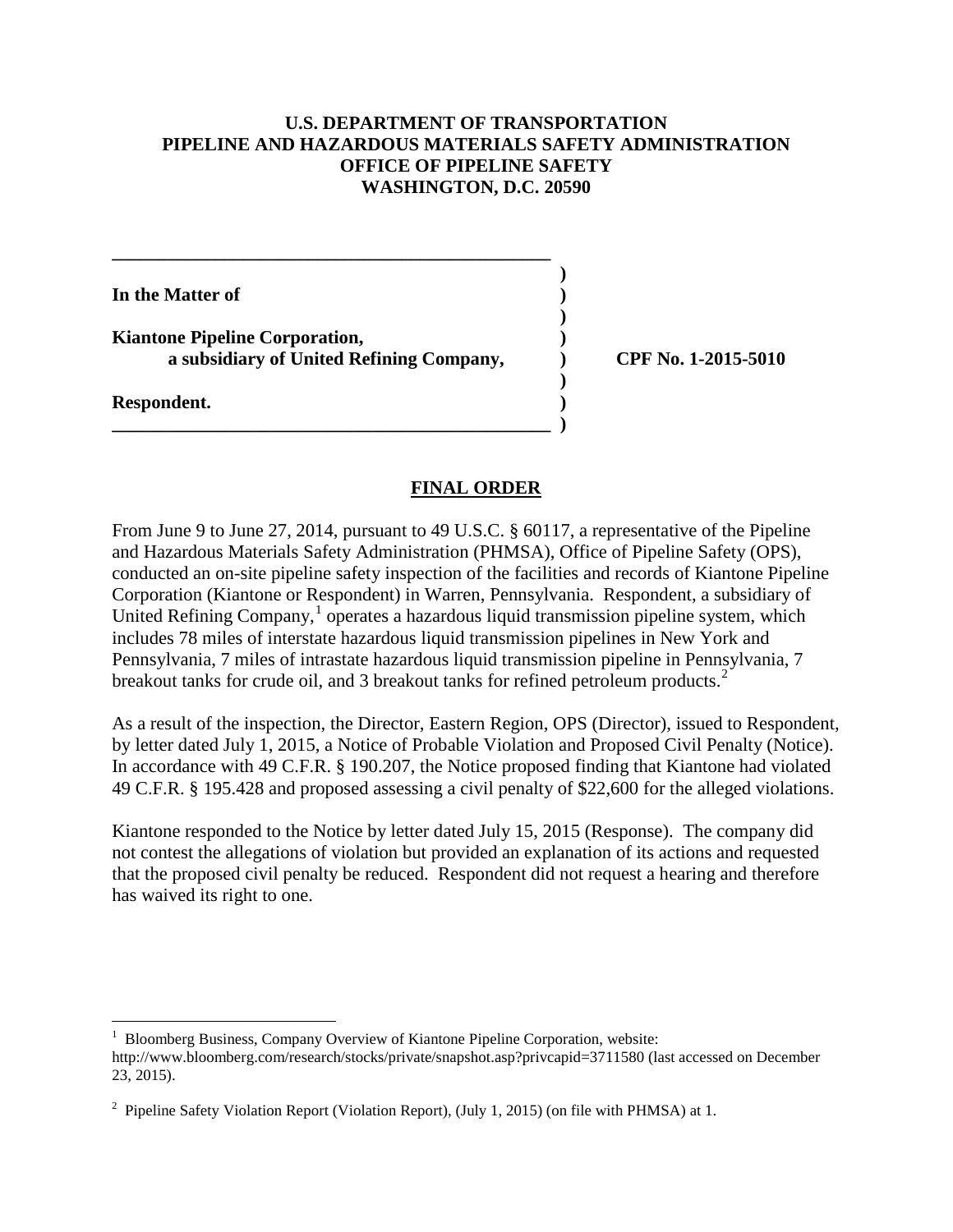# **U.S. DEPARTMENT OF TRANSPORTATION PIPELINE AND HAZARDOUS MATERIALS SAFETY ADMINISTRATION OFFICE OF PIPELINE SAFETY WASHINGTON, D.C. 20590**

 **) In the Matter of ) ) Kiantone Pipeline Corporation, ) a subsidiary of United Refining Company, ) CPF No. 1-2015-5010 ) Respondent. ) \_\_\_\_\_\_\_\_\_\_\_\_\_\_\_\_\_\_\_\_\_\_\_\_\_\_\_\_\_\_\_\_\_\_\_\_\_\_\_\_\_\_\_\_\_\_\_ )** 

**\_\_\_\_\_\_\_\_\_\_\_\_\_\_\_\_\_\_\_\_\_\_\_\_\_\_\_\_\_\_\_\_\_\_\_\_\_\_\_\_\_\_\_\_\_\_\_** 

## **FINAL ORDER**

From June 9 to June 27, 2014, pursuant to 49 U.S.C. § 60117, a representative of the Pipeline and Hazardous Materials Safety Administration (PHMSA), Office of Pipeline Safety (OPS), conducted an on-site pipeline safety inspection of the facilities and records of Kiantone Pipeline Corporation (Kiantone or Respondent) in Warren, Pennsylvania. Respondent, a subsidiary of United Refining Company,<sup>1</sup> operates a hazardous liquid transmission pipeline system, which includes 78 miles of interstate hazardous liquid transmission pipelines in New York and Pennsylvania, 7 miles of intrastate hazardous liquid transmission pipeline in Pennsylvania, 7 breakout tanks for crude oil, and 3 breakout tanks for refined petroleum products.<sup>2</sup>

As a result of the inspection, the Director, Eastern Region, OPS (Director), issued to Respondent, by letter dated July 1, 2015, a Notice of Probable Violation and Proposed Civil Penalty (Notice). In accordance with 49 C.F.R. § 190.207, the Notice proposed finding that Kiantone had violated 49 C.F.R. § 195.428 and proposed assessing a civil penalty of \$22,600 for the alleged violations.

Kiantone responded to the Notice by letter dated July 15, 2015 (Response). The company did not contest the allegations of violation but provided an explanation of its actions and requested that the proposed civil penalty be reduced. Respondent did not request a hearing and therefore has waived its right to one.

 $\overline{a}$ <sup>1</sup> Bloomberg Business, Company Overview of Kiantone Pipeline Corporation, website: http://www.bloomberg.com/research/stocks/private/snapshot.asp?privcapid=3711580 (last accessed on December 23, 2015).

<sup>&</sup>lt;sup>2</sup> Pipeline Safety Violation Report (Violation Report), (July 1, 2015) (on file with PHMSA) at 1.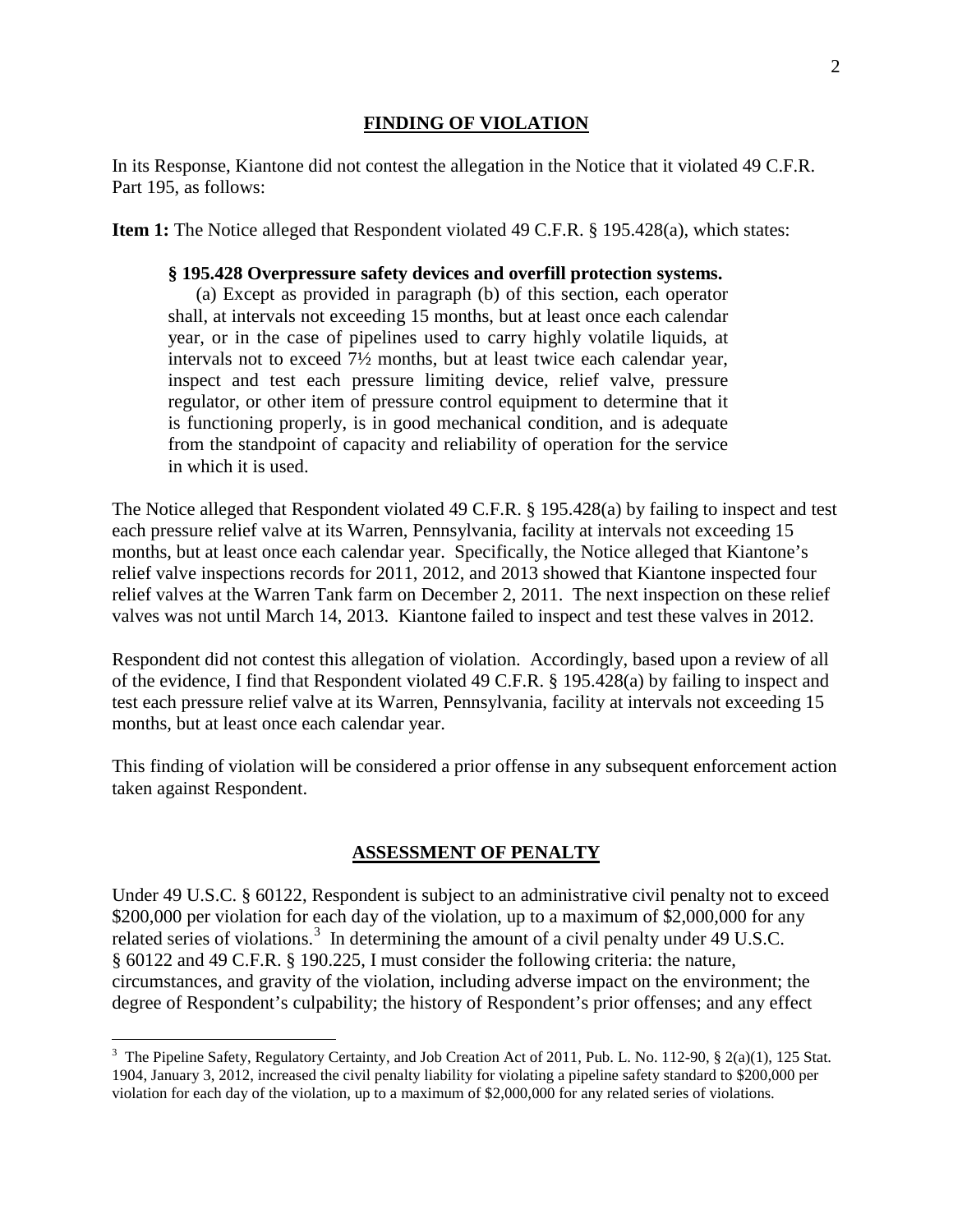#### **FINDING OF VIOLATION**

In its Response, Kiantone did not contest the allegation in the Notice that it violated 49 C.F.R. Part 195, as follows:

**Item 1:** The Notice alleged that Respondent violated 49 C.F.R. § 195.428(a), which states:

#### **§ 195.428 Overpressure safety devices and overfill protection systems.**

(a) Except as provided in paragraph (b) of this section, each operator shall, at intervals not exceeding 15 months, but at least once each calendar year, or in the case of pipelines used to carry highly volatile liquids, at intervals not to exceed 7½ months, but at least twice each calendar year, inspect and test each pressure limiting device, relief valve, pressure regulator, or other item of pressure control equipment to determine that it is functioning properly, is in good mechanical condition, and is adequate from the standpoint of capacity and reliability of operation for the service in which it is used.

The Notice alleged that Respondent violated 49 C.F.R. § 195.428(a) by failing to inspect and test each pressure relief valve at its Warren, Pennsylvania, facility at intervals not exceeding 15 months, but at least once each calendar year. Specifically, the Notice alleged that Kiantone's relief valve inspections records for 2011, 2012, and 2013 showed that Kiantone inspected four relief valves at the Warren Tank farm on December 2, 2011. The next inspection on these relief valves was not until March 14, 2013. Kiantone failed to inspect and test these valves in 2012.

Respondent did not contest this allegation of violation. Accordingly, based upon a review of all of the evidence, I find that Respondent violated 49 C.F.R. § 195.428(a) by failing to inspect and test each pressure relief valve at its Warren, Pennsylvania, facility at intervals not exceeding 15 months, but at least once each calendar year.

This finding of violation will be considered a prior offense in any subsequent enforcement action taken against Respondent.

## **ASSESSMENT OF PENALTY**

Under 49 U.S.C. § 60122, Respondent is subject to an administrative civil penalty not to exceed \$200,000 per violation for each day of the violation, up to a maximum of \$2,000,000 for any related series of violations.<sup>3</sup> In determining the amount of a civil penalty under 49 U.S.C. § 60122 and 49 C.F.R. § 190.225, I must consider the following criteria: the nature, circumstances, and gravity of the violation, including adverse impact on the environment; the degree of Respondent's culpability; the history of Respondent's prior offenses; and any effect

 $\overline{a}$ 

<sup>&</sup>lt;sup>3</sup> The Pipeline Safety, Regulatory Certainty, and Job Creation Act of 2011, Pub. L. No. 112-90, § 2(a)(1), 125 Stat. 1904, January 3, 2012, increased the civil penalty liability for violating a pipeline safety standard to \$200,000 per violation for each day of the violation, up to a maximum of \$2,000,000 for any related series of violations.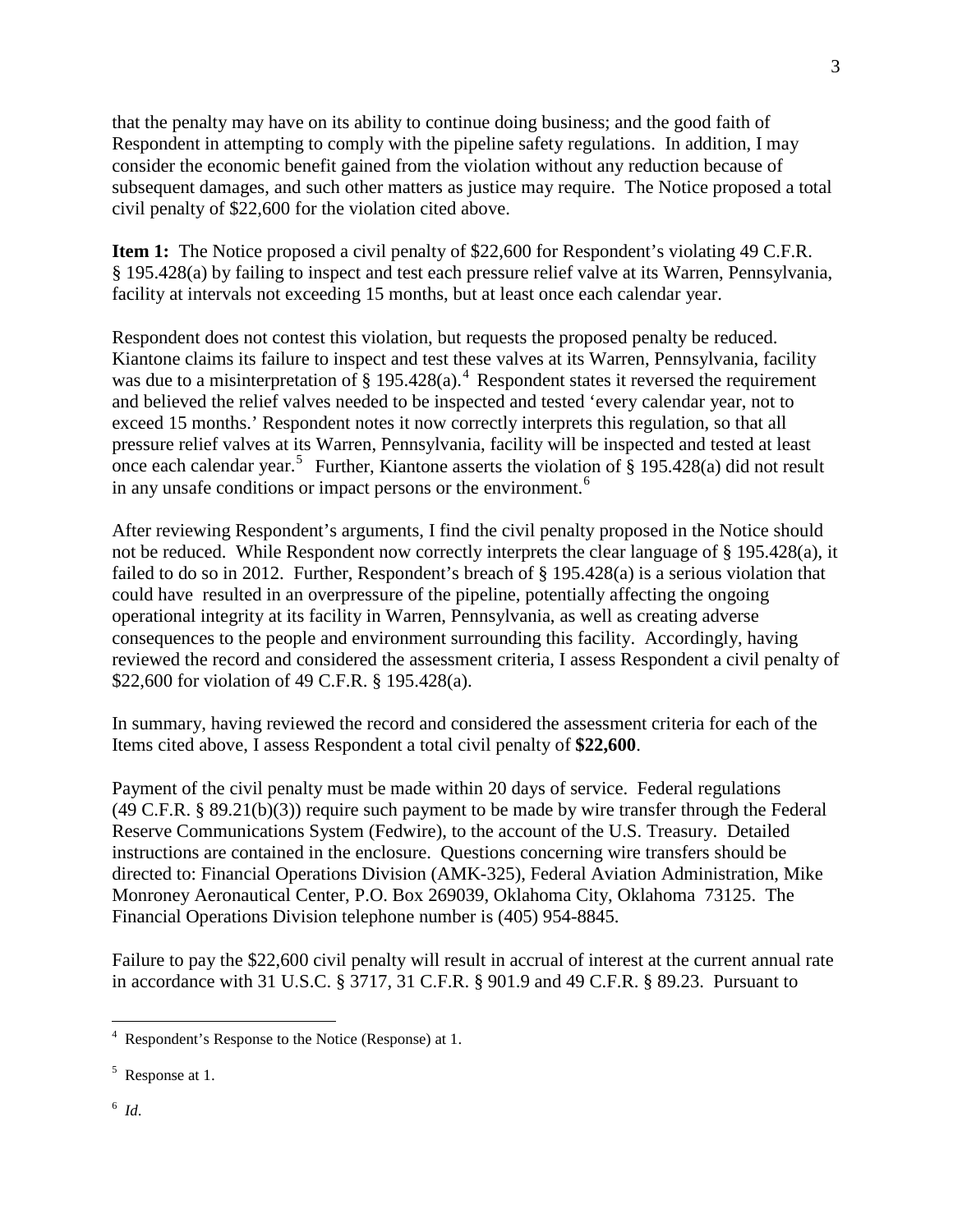that the penalty may have on its ability to continue doing business; and the good faith of Respondent in attempting to comply with the pipeline safety regulations. In addition, I may consider the economic benefit gained from the violation without any reduction because of subsequent damages, and such other matters as justice may require. The Notice proposed a total civil penalty of \$22,600 for the violation cited above.

**Item 1:** The Notice proposed a civil penalty of \$22,600 for Respondent's violating 49 C.F.R. § 195.428(a) by failing to inspect and test each pressure relief valve at its Warren, Pennsylvania, facility at intervals not exceeding 15 months, but at least once each calendar year.

Respondent does not contest this violation, but requests the proposed penalty be reduced. Kiantone claims its failure to inspect and test these valves at its Warren, Pennsylvania, facility was due to a misinterpretation of  $\S$  195.428(a).<sup>4</sup> Respondent states it reversed the requirement and believed the relief valves needed to be inspected and tested 'every calendar year, not to exceed 15 months.' Respondent notes it now correctly interprets this regulation, so that all pressure relief valves at its Warren, Pennsylvania, facility will be inspected and tested at least once each calendar year.<sup>5</sup> Further, Kiantone asserts the violation of  $\frac{1}{8}$  195.428(a) did not result in any unsafe conditions or impact persons or the environment.<sup>6</sup>

After reviewing Respondent's arguments, I find the civil penalty proposed in the Notice should not be reduced. While Respondent now correctly interprets the clear language of § 195.428(a), it failed to do so in 2012. Further, Respondent's breach of § 195.428(a) is a serious violation that could have resulted in an overpressure of the pipeline, potentially affecting the ongoing operational integrity at its facility in Warren, Pennsylvania, as well as creating adverse consequences to the people and environment surrounding this facility. Accordingly, having reviewed the record and considered the assessment criteria, I assess Respondent a civil penalty of \$22,600 for violation of 49 C.F.R. § 195.428(a).

In summary, having reviewed the record and considered the assessment criteria for each of the Items cited above, I assess Respondent a total civil penalty of **\$22,600**.

Payment of the civil penalty must be made within 20 days of service. Federal regulations (49 C.F.R. § 89.21(b)(3)) require such payment to be made by wire transfer through the Federal Reserve Communications System (Fedwire), to the account of the U.S. Treasury. Detailed instructions are contained in the enclosure. Questions concerning wire transfers should be directed to: Financial Operations Division (AMK-325), Federal Aviation Administration, Mike Monroney Aeronautical Center, P.O. Box 269039, Oklahoma City, Oklahoma 73125. The Financial Operations Division telephone number is (405) 954-8845.

Failure to pay the \$22,600 civil penalty will result in accrual of interest at the current annual rate in accordance with 31 U.S.C. § 3717, 31 C.F.R. § 901.9 and 49 C.F.R. § 89.23. Pursuant to

 4 Respondent's Response to the Notice (Response) at 1.

<sup>&</sup>lt;sup>5</sup> Response at 1.